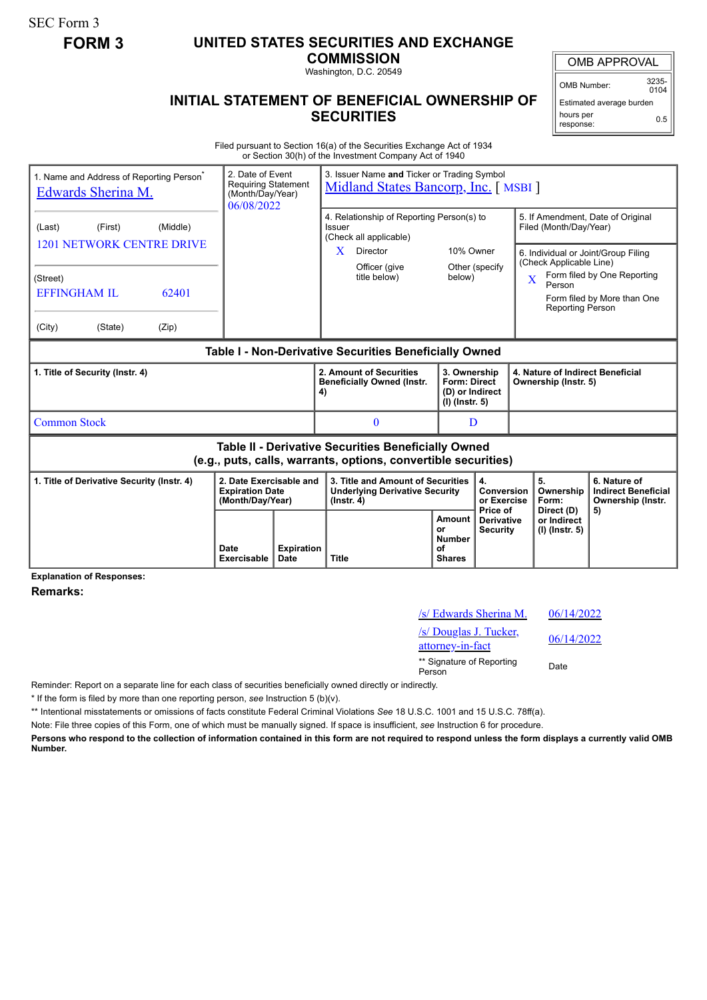SEC Form 3

## **FORM 3 UNITED STATES SECURITIES AND EXCHANGE**

**COMMISSION**

Washington, D.C. 20549

## **INITIAL STATEMENT OF BENEFICIAL OWNERSHIP OF SECURITIES**

OMB APPROVAL

OMB Number: 3235-  $0104$ 

Estimated average burden hours per response: 0.5

Filed pursuant to Section 16(a) of the Securities Exchange Act of 1934 or Section 30(h) of the Investment Company Act of 1940

| 1. Name and Address of Reporting Person <sup>*</sup><br>Edwards Sherina M.                                                                  | 2. Date of Event<br>Requiring Statement<br>(Month/Day/Year)<br>06/08/2022 |    | 3. Issuer Name and Ticker or Trading Symbol<br>Midland States Bancorp, Inc. [MSBI]                                              |                                                                            |                                      |                                                                                                                                                                                               |                                                                 |  |
|---------------------------------------------------------------------------------------------------------------------------------------------|---------------------------------------------------------------------------|----|---------------------------------------------------------------------------------------------------------------------------------|----------------------------------------------------------------------------|--------------------------------------|-----------------------------------------------------------------------------------------------------------------------------------------------------------------------------------------------|-----------------------------------------------------------------|--|
| (First)<br>(Middle)<br>(Last)<br><b>1201 NETWORK CENTRE DRIVE</b><br>(Street)<br><b>EFFINGHAM IL</b><br>62401<br>(City)<br>(State)<br>(Zip) |                                                                           |    | 4. Relationship of Reporting Person(s) to<br>Issuer<br>(Check all applicable)<br>X<br>Director<br>Officer (give<br>title below) | 10% Owner<br>below)                                                        | Other (specify                       | 5. If Amendment, Date of Original<br>Filed (Month/Day/Year)<br>6. Individual or Joint/Group Filing<br>(Check Applicable Line)<br>$\overline{\mathbf{X}}$<br>Person<br><b>Reporting Person</b> | Form filed by One Reporting<br>Form filed by More than One      |  |
| Table I - Non-Derivative Securities Beneficially Owned                                                                                      |                                                                           |    |                                                                                                                                 |                                                                            |                                      |                                                                                                                                                                                               |                                                                 |  |
| 1. Title of Security (Instr. 4)                                                                                                             |                                                                           | 4) | 2. Amount of Securities<br><b>Beneficially Owned (Instr.</b>                                                                    | 3. Ownership<br><b>Form: Direct</b><br>(D) or Indirect<br>$(I)$ (lnstr. 5) |                                      | 4. Nature of Indirect Beneficial<br>Ownership (Instr. 5)                                                                                                                                      |                                                                 |  |
| <b>Common Stock</b>                                                                                                                         |                                                                           |    | $\mathbf{0}$                                                                                                                    | D                                                                          |                                      |                                                                                                                                                                                               |                                                                 |  |
| Table II - Derivative Securities Beneficially Owned<br>(e.g., puts, calls, warrants, options, convertible securities)                       |                                                                           |    |                                                                                                                                 |                                                                            |                                      |                                                                                                                                                                                               |                                                                 |  |
| 2. Date Exercisable and<br>1. Title of Derivative Security (Instr. 4)<br><b>Expiration Date</b><br>(Month/Day/Year)                         |                                                                           |    | 3. Title and Amount of Securities<br><b>Underlying Derivative Security</b><br>$($ lnstr. 4 $)$                                  | 4.<br>Conversion<br>or Exercise<br>Price of                                |                                      | 5.<br>Ownership<br>Form:                                                                                                                                                                      | 6. Nature of<br><b>Indirect Beneficial</b><br>Ownership (Instr. |  |
|                                                                                                                                             | <b>Expiration</b><br>Date<br>Date<br>Exercisable                          |    | <b>Title</b>                                                                                                                    | Amount<br>or<br><b>Number</b><br>οf<br><b>Shares</b>                       | <b>Derivative</b><br><b>Security</b> | Direct (D)<br>or Indirect<br>(I) (Instr. 5)                                                                                                                                                   | 5)                                                              |  |

**Explanation of Responses:**

**Remarks:**

| /s/ Edwards Sherina M.                     | 06/14/2022 |
|--------------------------------------------|------------|
| /s/ Douglas J. Tucker,<br>attorney-in-fact | 06/14/2022 |
| ** Signature of Reporting<br>Person        | Date       |

Reminder: Report on a separate line for each class of securities beneficially owned directly or indirectly.

\* If the form is filed by more than one reporting person, *see* Instruction 5 (b)(v).

\*\* Intentional misstatements or omissions of facts constitute Federal Criminal Violations *See* 18 U.S.C. 1001 and 15 U.S.C. 78ff(a).

Note: File three copies of this Form, one of which must be manually signed. If space is insufficient, *see* Instruction 6 for procedure.

**Persons who respond to the collection of information contained in this form are not required to respond unless the form displays a currently valid OMB Number.**